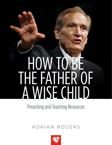# HOW TO BE THE FATHER OF A WISE CHILD

Preaching and Teaching Resources

## ADRIAN ROGERS

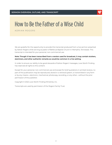

ADRIAN ROGERS

We are grateful for the opportunity to provide this transcript produced from a live sermon preached by Adrian Rogers while serving as pastor of Bellevue Baptist Church in Memphis, Tennessee. This transcript is intended for your personal, non-commercial use.

## **Note: Though it has been transcribed from a version used for broadcast, it may contain stutters, stammers, and other authentic remarks as would be common in a live setting.**

In order to ensure our ability to be good stewards of Adrian Rogers' messages, Love Worth Finding has reserved all rights to this content.

Except for your personal, non-commercial use and except for brief quotations in printed reviews, no part of this publication may be reproduced, stored in a retrieval system, or transmitted in any form or by any means—electronic, mechanical, photocopy, recording, or any other—without the prior permission of the publisher.

Copyright © 2022 Love Worth Finding Ministries, Inc.

Transcripts are used by permission of the Rogers Family Trust.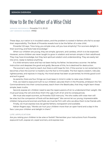

**SERMON REFERENCE:** Proverbs 1:1-5, 20-22 **LWF SERMON NUMBER:** #1932

These days, our nation is in troubled waters, and the problem is rooted in fathers who fail to accept their responsibility. The Book of Proverbs reveals how to be the father of a wise child.

Proverbs 1:22 says, "How long, you simple ones, will you love simplicity? For scorners delight in their scorning, and fools hate knowledge."

When our children are young, they are simple, ignorant, and careless, which is to be expected. However, some children are never taught to grow in wisdom and remain simple in their adulthood. They may have knowledge, but they lack spiritual wisdom and understanding. They are easily led into error, ready to believe anything.

If a child remains naive and has not been led by his father, he becomes a scorner. He defies instruction and despises the good and godly. Because of this, he is destined for destruction.

The scorner's very hard to reach, but there is still hope for him. If the scorner is not reclaimed, he becomes a fool; the scorner is insolent, but the fool is immovable. The fool rejects wisdom, ridicules righteousness, and rejoices in iniquity. His moral sense has been so perverted, he thinks good is evil and evil is good.

As parents, there are four things we must keep in mind in order to raise wise children.

First, we need to expound truth to our children; saturate them in the Proverbs, emblazon the Ten Commandments into their consciousness, teach them the Beatitudes, that they might learn these simple, basic truths.

Second, expose sin: children need to see the repercussions of sin to understand their weight. We must pull away the veil and show them the ugly truth of sin and its consequences.

We must also expel scorners, as Proverbs 13:20 instructs, "He who walks with wise men will be wise, but the companion of fools will be destroyed." We cannot let our young, impressionable children hang around scorners and fools; we must be firm with who we allow them to be friends with.

Finally, we must express love; be gentle fathers, transparent and available.

Adrian Rogers says, "Words can hurt your children more than an open hand and a slap in the face. Love your children and delight in them."

#### **LIFE APPLICATION**

Are you raising your children to be wise or foolish? Remember your instructions from Proverbs: expound truth, expose sin, expel scorners, and express love.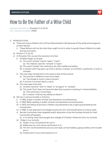

**SERMON REFERENCE:** Proverbs 1:1-5, 20-22 **LWF SERMON NUMBER:** #1932

- 1) INTRODUCTION
	- a) There are many children who will be shipwrecked in life because of the pride and arrogance of their fathers.
		- i) These fathers will not do what they ought to do in order to guide those children to a safe and secure haven.
	- b) Provers 1:1-5, 20-22
	- c) In Proverbs 1:22, we see the evolution of a fool.
		- i) Children begin as simple.
			- (1) The word "simple" means "open," "naive."
				- (a) The Hebrew word for "simple" is "open."
			- (2) The word "simple" has nothing to do with intellectual ability.
			- (3) A simple child may grow up to be a doctor, a lawyer, an architect, a politician, or even a minister.
		- ii) The next step mentioned in this verse is that of the scorner.
			- (1) The scorner is different from the simple.
				- (a) The simple is more or less innocent.
			- (2) A scorner is a smart-aleck, a cynic.
		- iii) The next step is the fool.
			- (1) Another word for "fool" is "rebel" or "arrogant" or "wicked."
			- (2) The word "fool" does not have the idea that a person is lacking in mental abilities.
				- (a) This word has a moral base.
				- (b) It means "without any ability to discern."
	- d) We are in serious trouble in America.
		- i) In 1962, prayer in public schools was declared unconstitutional.
		- ii) In 1963, Bible reading in public schools was declared unconstitutional.
		- iii) In 1973, the killing of pre-born children was declared to be a right guaranteed by the Constitution.
		- iv) In 1980, it was deemed to be illegal to post the Ten Commandments on school walls.
		- v) Secular humanists have targeted public education to be the Sunday schools for their humanistic philosophy.
			- (1) In so doing, they have purged any vestige of Christian influence from our schools.
		- vi) Today in our schools:
			- (1) Prayer is out, and policemen are in.
			- (2) Bibles are out, and values clarification is in.
			- (3) The Ten Commandments are out; and rape, armed robbery, gang warfare, and murder are in.
			- (4) Creationism is out, and evolution is in.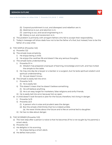

- (5) Corporal punishment is out, and disrespect and rebellion are in.
- (6) Abstinence is out, and abortion is in.
- (7) Learning is out, and social engineering is in.
- (8) History is out, and revisionism is in.
- e) The problem is primarily with arrogant fathers who fail to accept their responsibility.
- f) Today's message will show dads how not to be the father of a fool, but instead, how to be the father of a wise child.
- 2) THE SIMPLE (Proverbs 1:22)
	- a) Proverbs 1:22
	- b) The simple loves simplicity.
		- i) He enjoys being a child.
		- ii) He enjoys the carefree life and doesn't like any serious thoughts.
	- c) The simple lacks understanding.
		- i) Proverbs 9:1-4
			- (1) Wisdom has prepared a banquet of learning, knowledge and truth, and has invited the simple to the table.
		- ii) He may one day be a lawyer or a banker or a surgeon, but he lacks spiritual wisdom and spiritual understanding.
			- (1) He just doesn't know.
	- d) The simple is easily led into error.
		- i) Proverbs 14:15
			- (1) He is easily led.
		- ii) This doesn't mean that he doesn't believe something.
			- (1) He will believe anything.
			- (2) He is an easy target for marketers, false religions and sinful friends.
		- iii) He is easily led into error because he's so open.
	- e) A child doesn't look forward or plan for the future; therefore, he's living in danger.
		- i) Proverbs 14:15
		- ii) Proverbs 22:3
			- (1) A person who is wise and prudent sees the danger.
			- (2) But the simple child thinks that he is indestructible.
				- (a) He never thinks about the future and is like an animal led to slaughter.
		- iii) He has no idea about danger.
- 3) THE SCORNER (Proverbs 1:22)
	- a) The next step after a person is naïve is that he becomes (if he is not taught by his parents) a smart-aleck.
	- b) Proverbs 1:22
	- c) He delights in his scorning.
		- i) He enjoys being a smart-aleck.
	- d) He defies instruction.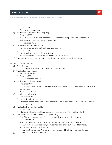

- i) Proverbs 13:1
- ii) A scorner will not listen.
- e) He despises the good and the godly.
	- i) Proverbs 15:12
	- ii) A scorner will not go to his father or teacher or youth pastor and ask for help.
	- iii) Rebuke a scorner, and he will insult you.
		- (1) Proverbs 9:7-8
- f) He is destined for destruction.
	- i) He was once simple, but he became a scorner.
	- ii) Proverbs 13:1, 13
	- iii) He won't listen and will laugh at you.
	- iv) If a scorner is not reclaimed, he will be lost for eternity.
- g) The scorner is very hard to reach, but there is some hope for the scorner.
- 4) THE FOOL (Proverbs 1:22)
	- a) Proverbs 1:22
		- i) The scorner is insolent, but the fools is immovable.
	- b) The fool rejects wisdom.
		- i) He hates wisdom.
		- ii) Proverbs 15:14
			- (1) He loves foolishness.
	- c) He ridicules righteousness.
		- i) Proverbs 14:9
		- ii) This is why there are sitcoms on television that laugh at drunkenness, adultery, and perversion.
		- iii) Fools mock at sin.
	- d) He rejoices in iniquity.
		- i) Proverbs 15:20-21
		- ii) He rejoices in wickedness.
		- iii) His moral sense has been so perverted that he thinks good is evil and evil is good.
			- (1) Isaiah 5:20
	- e) The fool will die and go to Hell.
		- i) Proverbs 17:10
		- ii) His heart is hardened, his conscience is seared, and his mind is defiled.
	- f) If he were a wise child, he could still go wrong.
		- i) But if he went wrong and God chastised him, he would then repent.
			- (1) Hebrews 12:6
		- ii) King David sinned terribly, but he was a wise man in spite of his sin.
			- (1) When God chastised him, he repented and cried out to God for mercy.
		- iii) In contrast, Pharaoh was a fool.
			- (1) When God judged Pharaoh, he just hardened his heart more and more.
	- g) Little children start out as simple.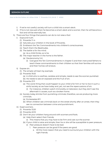

- i) If we're not careful, society will turn a child into a smart-aleck.
- ii) If he is not rescued when he becomes a smart-aleck and a scorner, then he will become a fool and will be eternally lost.
- h) There are four things that parents can do to not raise a fool:
	- i) Expound truth.
		- (1) Proverbs 1:1-4
		- (2) Saturate your children in the book of Proverbs.
		- (3) Emblazon the Ten Commandments into children's consciousness.
		- (4) Teach them the Beatitudes.
		- (5) The battle is for the mind.
			- (a) As a child thinks, so is he.
		- (6) The major teacher in the home is the father.
			- (a) Deuteronomy 5-6
				- (i) God gave the Ten Commandments in chapter 5 and then instructed fathers to teach these commandments to their children so that their families will survive and their homes will endure.
	- ii) Expose sin.
		- (1) The simple will learn by example.
		- (2) Proverbs 19:25
			- (a) A child who is carefree, careless and simple, needs to see the scorner punished.
			- (b) He needs to see sin exposed and the fruit of sin.
		- (3) Proverbs 21:11
			- (a) The worst thing that could happen to your child is for him or her to live in such a sinful society as we have today and, yet, not see the repercussions of sin.
				- (i) For instance, children watch immorality on television, but they don't see the aftermath it causes, such as a broken home.
		- (4) Society today shrinks from punishing criminals; therefore, we are producing more criminals.
			- (a) Ecclesiastes 8:11
			- (b) When children see criminals back on the street shortly after an arrest, then they see no connection between crime and punishment.
	- iii) Expel scorners.
		- (1) Proverbs 13:20
		- (2) Proverbs 22:10
		- (3) Don't let your children hang around with scorners and fools.
			- (a) Help them select their friends.
				- (i) This means that you may have to be firm and cast out the scorner.
			- (b) If your child is naïve and simple, then he or she will be susceptible to peer pressure.
				- (i) Peer pressure doesn't have to be bad.
					- 1. Peer pressure can be good if the peers are good.
						- a. All the more reason that you need to surround your children with the right friends.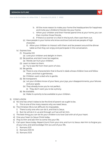

- b. All the more reason to make your home the headquarters for happiness and invite your children's friends into your home.
- c. When your children and their friends spend time at your home, you can then monitor those friends.
- d. If there is a scorner or a fool in the bunch, then cast them out.
- (c) Have people in your home who know and love God and are people of high character.
	- (i) Allow your children to interact with them and be present around the dinner table so that they can enjoy and participate in the conversation.
- iv) Express love.
	- (1) Proverbs 3:12
		- (a) Love your children and delight in them.
	- (2) Be positive, and don't ever be negative.
		- (a) Words can hurt your children.
	- (3) Learn to listen to them.
		- (a) Try to see life from their point of view.
	- (4) Be gentle.
		- (a) There is one characteristic that is found in dads whose children love and follow them, and that is gentleness.
		- (b) Children want a dad who is gentle.
	- (5) Be transparent.
		- (a) Let your children know of your fears, your joys, your disappointments, your failures and your goals.
		- (b) They already know you're not perfect.
			- (i) They don't want you to be a phony.
	- (6) Be available.
		- (a) Make it a priority to be available to your children.
- 5) CONCLUSION
	- a) No one has what it takes to be the kind of parent we ought to be.
		- i) This is one of the many reasons why we need Jesus.
	- b) The Christian life is not difficult; it's impossible.
		- i) There is only one who can do it, and that is Jesus.
		- ii) But He will do it in us and through us if we will let Him.
	- c) The best thing you can do for your children is to love God with all of your heart.
	- d) Give your heart to Jesus Christ today.
	- e) Pray to Him and ask Him to come into your life.
	- f) Call upon Jesus today. Repent (turn) from your sins, and turn to Jesus. Ask Him to forgive you of your sins, and acknowledge Him as Lord of your life.
		- i) Romans 3:23
		- ii) Romans 10:9-10
		- iii) Romans 10:13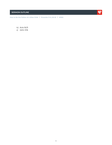## **SERMON OUTLINE**



- iv) Acts 16:31
- v) John 3:16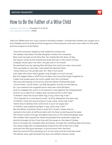

**SERMON REFERENCE:** Proverbs 1:1-5, 20-22 **LWF SERMON NUMBER:** #1932

Take your Bibles and turn if you would to Proverbs chapter 1. Sometimes children are caught up in the mistakes and the pride and the arrogance of their parents. And more than often it's the pride and the arrogance of the father.

*'Twas the schooner Hesperus that sailed the wintery sea. The skipper had taken his little daughter to bear him company. Blue were her eyes as the fairy flax, her cheeks like the dawn of day. Her bosom white as the Hawthorne buds that op' in the month of May. A skipper stood upon the helm, his pipe was in his mouth. He watched how the veering flaw did blow the wind now west, now south. Then up spake an old sailor, had sailed the Spanish Main, "I pray thee, put into yonder port, for I fear a hurricane. Last night the moon had a golden ring, tonight no moon we see." But the skipper blew a whiff from his pipe, and a scornful laugh laughed he. Colder and louder grew the wind, a gale from the northeast. The snow fell hissing on the brine, and the billows frothed like yeast. "Come hither! Come hither, my little daughter, and do not tremble so, for I can weather the roughest storm that ever wind did blow." And he wrapped her warm in his seaman's coat against the stinging blast And he cut a rope from a fallen spar and bound her to the mast. "O father! I hear the church bells ring, O say, what may it be?" "'Tis a fog bell on a rock-bound coast," and he steered for the open sea. "O Father! I hear the sound of guns, O say, what, what may it be?" "Some ship in distress that cannot live in such an angry sea." "O Father! I see a gleaming light, O say, what may it be?" But the father answered never a word, for a frozen corpse was he. Lashed to the helm all stiff and stark with his face turned toward the skies. The lantern shown through the gleaming snow on his fixed and glassy eyes. The maiden then bowed her head and prayed that saved she might be; And she thought of the Christ that still the waves on the lake of Galilee. And on through the midnight dark and drear, through the whistling sleet and snow, The vessel swept like a sheeted ghost toward the reef of Norman's Woe. And ever the fitful gust between, a sound came from the land. Was the sound of the trampling surf, on the rocks and the hard sea sand. The billows were right beneath her bow, she drifted a dreary wreck,*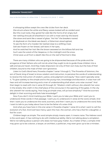

*A whooping billow swept the crew like icicles from her deck. She struck where the white and fleecy waves looked soft as carded wool. But the cruel rocks, they gored her side like the horns of an angry bull. Her rattling shrouds all sheathed in ice with a mast went by the board. She stove and sank like a vessel of glass. "Ho! Ho!" the breakers roared. At daybreak on the bleak sea-beach, a fisherman stood aghast, To see the form of a maiden fair lashed close to a drifting mast. Salt sea frozen on her breast, salt tears in her eyes, And he watched her hair like the brown seaweed on the billows fall and rise. Such was the wreck of the Hesperus, in the midnight and the snow. Christ save us all from a death like this on the reef of Norman's Woe.*

There are many children who are going to be shipwrecked because of the pride and the arrogance of their fathers who will not do what they ought to do to guide those children into a safe and secure haven. And they make shipwreck not only of their own lives, but the lives of their children, bound to the mast of their own ignorance.

Listen to God's Word here, Proverbs chapter 1 verse 1 through 5, "The Proverbs of Solomon, the son of David, king of Israel; to know wisdom and instruction, to perceive the words of understanding; to receive the instruction of wisdom, justice, and judgment and equity." Now watch specially verse 4, "To give subtlety to the simple and to the young man, knowledge and discretion. A wise man will hear and will increase learning and a man of understanding shall attain unto wise counsel." And then begin to read with me in verse 20 through 22, "Wisdom crieth without, she uttereth her voice in the streets. She crieth in the chief place of the concourse in the opening of the gates. In the city she uttereth her words saying, 'How long ye simple ones, will ye love simplicity?' And the scorners delight in their scorning and fools hate knowledge?"

Now if you don't mind marking your Bible, I want you to take your Bible and I want you to underscore three words in that passage. I want you to underscore in verse 22 the word, simple. And then I want you to underscore the word, scorners, and then I want you to underscore the word, fools. I want to talk to you today about how to be the father of a wise child.

And what you have here in this one verse in Proverbs chapter 1 verse 22 is what I want to call the evolution of a fool. And God have mercy upon the man, the woman, who has a fool for a daughter, a fool for a son.

Children begin as simple. The word simple simply means open. It means naive. The Hebrew word is the word open. It has nothing to do with intellectual ability. We're not talking about a simpleton. We're not talking about a person who does not have gray matter. As a matter of fact, a simple child may grow up to be a doctor, a lawyer, an architect, a politician, may even grow up to be a minister;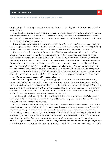

simple, simple. Just simply means plastic mentality, open, naive. So just write the word naive by the word simple.

And then the next word he mentions is the scorner. Now, the scorner's different from the simple. The simple is more or less innocent. But the scorner, today just write the word smart aleck, smart aleck, or in business write the word cynic. Or in the university you might write the word sophisticate. These are the scornful; the scornful.

But then the next step is the fool, the fool. Now write by the word fool, the word rebel, arrogant, wicked. Again the word fool does not have the idea that a person is lacking in mental ability. He may be very wise to do evil. The word has a moral base. It means without any ability to discern.

Now we are in serious trouble in America. And I'll tell you what happened in America. In 1962, prayer in public schools was declared unconstitutional. In 1963 in America, Bible reading in the public school was declared unconstitutional. In 1973, the killing of pre-born children was declared to be a right guaranteed by the Constitution. In 1980, the Ten Commandments were deemed to be illegal to be posted on school walls. And one of the reasons why they said so, if a child read those commandments, they said, "He might be tempted to emulate them." And so, they're taken down. You see, the secular humanists have proven to be great strategists. They tried to find one segment of life that almost every American child will pass through, that is, education. So they targeted public education to be the Sunday schools for their humanistic philosophy. And in order to do that, they wanted to purge out any vestige of Christian influence.

So what has happened in the last years? Well, prayer is out, policemen are in. Bibles are out, values clarification is in. The Ten Commandments are out, rape and armed robbery, gang warfare, murder and cheating are in. Instruction that tells us that we were created in the image of God is out, evolution is in. Corporal punishment is out, disrespect and rebellion is in. Traditional values are out and unwed motherhood is in. Abstinence is out and condoms and abortion are in. Learning is out and social engineering is in. History is out and revisionism is in.

And the problem primarily, believe it or not, is with fathers. Arrogant fathers who fail to accept their responsibility. I want to talk to dads today, and I want to tell you how not to be the father of a fool. How to be the father of a wise child.

Now go back to these three categories of persons that we looked at here in verse 22, and let me describe them more carefully and I think you'll recognize some children that you know. First of all, let's think of the ignorance of the simple. How is he described? Look if you will in Romans 1 verse 22, "How long ye simple ones will ye love simplicity?" That's his first mark. He loves his simplicity. He enjoys being a child. He enjoys the carefree life. He doesn't like any serious thoughts. One teenager said, "I am worried. My Dad slaves away at his job so I won't have to need for a thing and so I can have a college education. My mom spends every day washing and ironing and picking up my things and looking after me. And she takes care of me when I'm sick." His friend said, "You're worried? What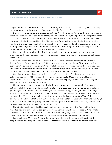

are you worried about?" He said, "I'm afraid they might try to escape." The children just love having everything done for them, the carefree simple life. That's the life of the simple.

But not only that, he lacks understanding. Go to Proverbs chapter 9. And by the way, we're going to stay in Proverbs, and so get your Bibles open and keep them in your lap. Proverbs chapter 9 verses 1 through 4, "Wisdom hath builded her house. She hath hewn out her seven pillars. She hath killed her beasts. She hath mingled her wine. She hath also furnished her table. She hath sent forth her maidens. She crieth upon the highest places of the city." That is, wisdom has prepared a banquet of learning knowledge and truth. And notice to whom the invitation goes, "Whoso is simple, let him turn in hither. As for him that wanteth or needeth understanding."

Now, a simple person loves his simplicity, he lacks understanding. As I say, one day he may be a lawyer, a banker, or a surgeon, but he lacks spiritual wisdom and spiritual understanding. He just doesn't know.

Now, because he's carefree, and because he lacks understanding, he is easily led into error. Turn to Proverbs 14 and look in verse 15. Here's a key verse about the simple, "The simple believeth every word." Now just put that down. "The simple believeth every word." Remember I told you that the Hebrew word for simple means open? He believes every word. That is, he's easily led. "But the prudent man looketh well to his going." And so a simple child is easily led.

Now listen, let me tell you something. It doesn't mean he doesn't believe something. He will believe something! He'll believe anything! He's an easy target for Madison Avenue. He's an easy target for MTV, for false religions, for sinful friends. He's like a sponge. He believes everything. He's easily led into error because he's so open.

I heard about a young, simple boy who had some puppies and his mama said, "You have to get rid of all of them but one." So he was trying to sell the last puppy and he was trying to sell it for \$5 and a grown man said, "Son, the reason you can't sell that puppy is that you didn't put a high enough price for him and people don't think he's worth much." And so he came back the next day the boy said, "Well sir, I have decided that I am going to sell this puppy for \$100." "Well," the man said, "Son, I didn't mean that much. But see if you can do it." Later on, he saw the man and said, "Sir, I want you to know I sold my puppy." He said, "Did you get a hundred dollars?" He said, "Indeed I did." He said, "Well, not exactly." Said, "I took two \$50 cats."

Now, that's the simple child. He's easily led into error. You can trick him. You can flim-flam him. But, he's living in constant danger. Look at that verse again, chapter 14 verse 15, "The simple believeth every word, but a prudent man looketh well to his going." Now a child doesn't do that. He doesn't look forward; he doesn't plan for the future. And therefore he's living in danger.

Look in chapter 22 in verse 3, "A prudent man forseeth the evil, and hideth himself: but the simple pass on and are punished." What does that mean? That means that if a person were wise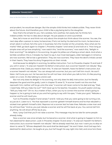

and prudent, he would see danger. But the simple child thinks he's indestructible. They never think about the future. And therefore your child is like a pig being led to the slaughter.

Now that's the simple for you. He's careless, he's carefree, he's easily led, he thinks he's indestructible. He has no idea about danger. He just passes on and is punished.

Now, let's move on and think not only about the simple but think about the scorner. You see, the next step after a person is naive, he becomes, if he's not led by his dad and his mom, he becomes a smart aleck in school, he's the cynic in business; he's the mocker at the university. Now what are his marks? Well, go back again to chapter 1, Proverbs chapter 1 and verse 22 and look at it, "How long ye simple ones will ye love simplicity," now watch this, "and the scorners," now watch this, "delight in their scorning?" He delights in his scorning. He gets his jollies out of being a smart aleck. And what a terrible condition this is. It breaks my heart to say it, but most teenagers, older teenagers in America are now scorners. We've lost a generation. They are now scorners. They have the devil's initials carved in their hearts. They have his slimy fingerprints on their minds.

And because he delights in scorning, he defies instruction. Turn to Proverbs chapter 13 and look if you will in verse 1, "A wise son heareth his father's instruction, but a scorner heareth not rebuke." Boy, underscore that. Dads you need to learn this. "A wise son heareth, hears his father's instruction, but a scorner heareth not rebuke." You can always tell a scorner, but you can't tell him much. He won't listen. He'll tune you out. He has ears but he will not hear. And when you talk to him, it's like pouring water on a rock. It's like talking to a brick wall.

But not only does he delight in his scorning, not only does he defy instruction, but he literally despises the good and the godly. Look in chapter 15 verse 12, "A scorner loveth not the one that reproveth him; neither will he go unto the wise." A scorner will never come to his dad and say, "Dad, I need help. Will you help me out?" He'll never go to his teacher, his pastor, his youth pastor and say, "Will you help me?" Oh no. As a matter of fact, when you try to correct the scorner what's going to happen is, he is going to look at you and he's going to say with his eyes, "I hate your guts." Rebuke a scorner and he will insult you.

Turn to Proverbs chapter 9 and verses 7 and 8. I told you that you were going to be turning a lot, so just do it. Listen to it, "He that reproveth a scorner getteth himself shame and he that rebuketh a wicked man getteth himself a blot. Reprove not a scorner lest he hate thee. Rebuke a wise man and he will love thee." And so, you just rebuke a scorner and he will fire back at you. You cannot tell him anything. He will shoot off the lip at you.

Now, I pray God that you'll not raise a scorner. This message may be too late for some people already today.

Now a scorner was once simple, but he became a scorner. And what is going to happen to him is; he's destined for destruction. Look in Proverbs chapter 13 and verse 1, "A wise son heareth his father's instruction, but a scorner heareth not rebuke." We've already read that, but now I want you to skip on down to verse 13, "Whoso despiseth the word shall be destroyed." He won't listen. And God says he's destined for destruction. He laughs at you, but he'll laugh his way right into Hell, and once he's there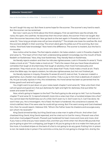

he can't laugh his way out. But there is some hope for the scorner. The scorner's very hard to reach. But the scorner can be reclaimed.

But now I want you to think about the third category. First we said there was the simple, the naive, the open, the carefree. He becomes then the smart aleck, the scorner if he's not taught. But then the scorner becomes a fool. Now go back to the text again in Proverbs chapter 1 and look at in verse 22, "How long ye simple ones will ye love simplicity?" The simple one loves his carefree life. And the scorners delight in their scorning. The smart aleck gets his jollies out of his scorning. But now notice, "And fools hate knowledge." Now here's the difference. The scorner is insolent, but the fool is immovable.

Now notice what he does. The fool rejects wisdom. He hates wisdom. Look in Proverbs chapter 15 and verse 14, "The heart of him that hath understanding seeketh knowledge, but the mouth of fools feedeth on foolishness." Now, they love foolishness. They literally feed on foolishness.

He literally rejects wisdom and then he ridicules righteousness. Look in Proverbs 14 verse 9, "Fools make a mock at sin." "Fools make a mock at sin." That's the reason that you have these situational comedies that laugh at drunkenness; that laugh at adultery, that mock homosexuality and perversion. They mock at sin. Do you know who does that? Fools. Fools make a mock at sin. That's what the Bible says. He rejects wisdom, he ridicules righteousness, but he's not finished yet.

He literally rejoices in iniquity. Proverbs 15 verses 20 and 21, look at that, "A wise son maketh a glad father, but a foolish man despiseth his mother. Folly is a joy to him that is destitute of wisdom." He, he just actually rejoices in this, this wickedness. His moral sense has been so perverted that he thinks good is evil and evil is good.

You might want to put down on your notes Isaiah chapter 5 and verse 20, "Woe unto them that call evil good and good evil, that put darkness for light and light for darkness, that put bitter for sweet and sweet for bitter."

Now, what's going to happen to the fool? The fool's going to die and go to Hell. Turn to Proverbs chapter 17 and verse 10, "A reproof entereth more into a wise man than a hundred stripes into a fool." You cannot beat the foolishness out of a child. Don't even try it. Don't even try it. Can't be done. He won't hear you. He is intransigent. He is fixed. His heart is hardened. His conscience is seared. His mind is defiled. Now if he were wise he could still go wrong. But if he went wrong and God chastised him, then he would repent. Hebrews 12:6, "Whom the Father loves He chastens and scourges every son whom He receiveth."

King David sinned terribly, but King David was a wise man in spite of his sin. And when God chastised King David, King David repented, and he cried out to God for mercy. Pharaoh was a fool. And when God judged Pharaoh, Pharaoh just hardened his heart more and more and more. And if you have a child and you have raised a fool, and then you think when he's 18 and 185 pounds that you're going to give him a whipping, just forget it! All you're going to do is to make him hate you all the more. A hundred stripes on the back of a fool is not going to do any good. Putting him in prison is not. He needs to be in prison if he commits a crime, but it's not going to change him. And by the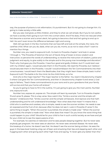

way, the purpose of prisons is not reformation, it's punishment. But it's not going to change him. It's going to make society a little safer.

But you see, God gives us little children, and they're what we call simple. But if you're not careful, we have a society that's going to turn him into a smart aleck. And if he does, if he's not rescued when he's become a scorner and a smart aleck, he's going to become a fool and he's going to end up in Hell. He won't even know the difference between right and wrong.

Well, let's go back in the few moments that we have left and look at the simple, the naive, the carefree child. What can you do, dads, what can you do, moms, so as not to raise a fool? I want to mention four things.

Number one, you need to expound truth. Go back to Proverbs chapter 1 and look in verses 1 through 4, "The Proverbs of Solomon the son of David, King of Israel, to know wisdom and instruction, to perceive the words of understanding, to receive the instruction of wisdom, justice and judgment and equity, to give subtly to the simple and to the young man knowledge and discretion." That's why God gave you the Proverbs. I have four good and godly children, but if I could start over with my children again, I would saturate them in the Proverbs. We read the Proverbs, but I believe I would saturate them in the Proverbs. I would! I would emblazon the Ten Commandments into their consciousness. I would teach them the Beatitudes, that they might learn these simple, basic truths! Expound truth! The battle is for the mind. As the child thinks, so is he.

And who is the major teacher? The major teacher is the father. You read in Deuteronomy chapter 5 where God gave the Ten Commandments, and then in Deuteronomy chapter 6 and verse 2, God says to fathers, "Teach these commandments to your sons and to your grandsons that your family will survive and that your home will endure."

So you're going to have to fill in the outline, I'm just going to give you the main points. Number one, expound truth.

Number two, expose sin, expose sin. The simple will learn by example. Turn to Proverbs chapter 19 and verse 15, please. This is a key verse. Now watch this, "Smite a scorner and the simple will beware." Underscore that. "Smite a scorner and the simple will beware. And reprove one that hath understanding and he will understand knowledge." Now what does that mean? It means that a child who is carefree and careless, who is simple, needs to see the scorner smitten. He needs to see sin exposed and the fruit of sin, because often he does not see it. Look in Proverbs 21 verse 11, the same thing is taught, "When the scorner is punished, the simple is made wise." "When the scorner is punished, the simple is made wise." Now what does that mean? Do you know the worst thing that could happen to your child? Would be for your child to live in such a sinful society as we have and yet for your child not to see the repercussions of sin.

For example, he watches on television and he sees people sleeping together. But he never sees anybody get pregnant. He never sees an abortion. He never sees venereal disease. He never sees the breakup of a home. He doesn't see that. He doesn't see the scorner being smitten. He sees the guys in the bass boat hoisting a big can of beer and smacking their lips and slapping each other and hugging each other and giving each other high fives and saying, "It never gets any better than this."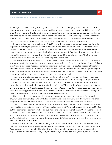## **SERMON TRANSCRIPT**



#### **How to Be the Father of a Wise Child** | **Proverbs 1:1-5, 20-22** | **#1932**

That's right. It doesn't even get that good as a matter of fact. It always gets worse than that. But, Madison Avenue never shows him a drunkard in the gutter covered with vomit and flies. He doesn't show the alcoholic with delirium tremens. He doesn't show a man, a beered-up dad coming home and beating up his kids. Madison Avenue doesn't do that. You see, they don't get to see the scorner smitten. Our children today are insulated. They don't know. That's the reason that you need to help them to understand. You need to expose sin. Not only expound truth, but expose sin.

If you're a dad and you've got a, a 9, 10, 12, 14 year old, you need to go some Friday and Saturday nights to the emergency room in the hospital about between 11 and 1:00. And let them see these people coming in after having gone through the windshield of an automobile, after having been beered-up. Let them see these people all sliced up and mangled. Take him down to skid row. Take him to the prisons. Let him see this. "Smite the scorner and the simple will learn." He thinks he's indestructible. He does not know. You need to pull back the veil.

You know, we have a society today that shrinks from punishing criminals, and that's the reason why we're producing more. Let me give you a verse of Scripture. Ecclesiastes chapter 8 verse 11, listen to it, this is a key verse, "Because sentence against an evil work is not executed speedily; therefore, the heart of the sons of men," that is, your sons, "is fully set in them to do evil." Let me give it to you again, "Because sentence against an evil work is not executed speedily." There's one appeal and then another appeal, and then another appeal and then another appeal.

A boy in the ghetto can see his friends standing on the street comer selling dope. He can see the undercover agent come and arrest him. He's carried off. He's kind of smiling as they carry him off. He's kind of a hero. Two or three days, he's right back on the same comer selling dope again. Now what does that say in the hearts and minds of others? They say there's no connection between crime and punishment. Ecclesiastes chapter 8 verse 11, "Because sentence against an evil work is not executed speedily; therefore, the heart of the sons of men is fully set in them to do evil." What you need to do is expound truth and expose error! Pull away the veil.

Now here's the third thing, and I'll get some disagreement about this, but I'm going to say it anyway. Expel scorners. Expound truth. Expose error. And expel scorners. Turn if you will to Proverbs chapter 13 and look with me in verse 20, "He that walketh with wise men shall be wise. But a companion of fools shall be destroyed." Moms and dads, underscore that. "He that walketh with wise men shall be wise, but a companion of fools shall be destroyed." Turn to Proverbs 22 and verse 10, "Cast out the scorner and contention shall go out. Yea, strife and reproach shall cease." Cast out the scorner!

Now every so often we hear that this disruptive child, for his sake, needs to be able to stay there and disrupt everybody else. But that's not what the Bible teaches. You're not doing him any good. You're only feeding his ego and depravity, and you are definitely corrupting those that he is around. The Bible says, "Cast him out."

Now listen, do not let your children hang around with scorners and fools. Just don't do it. You help him select his friends. And that means you may have to be firm and cast out the scorner. Why? Because your child, if your child is naive, if your child is simple, they are going to be susceptible to peer pressure. And as somebody said, "It's hard to fly with eagles when you're surrounded with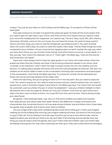

turkeys." You just let your kids run with turkeys and the Bible says, "A companion of fools will be destroyed."

Now peer pressure is not bad. It is good if the peers are good. So that's all the more reason that you need to get the right kids in your home. And that's all the more reason that you need to make your home the headquarters for happiness. You need to say, "Come in Mary, Susie, Bill, John, Martha, whomever, Michelle, come on into our house. You can have the house. You want to have a party? Have it over here. Boys, you want to raid the refrigerator, go ahead and do it. You want to break down the couch, that's okay. You want to track the carpet, that's okay." Friend, those things are small compared to your children. Let you home be the happiest place on earth. And by the way, boy, when you have them there, you can monitor those friends. And when there's a scorner, a smart aleck, or a fool, you say, "Son, there's the sidewalk. Get on it." That's right. The Bible says, "Cast out the scorner and contention will cease!"

Joyce and I have always tried to have the right guests in our home and make certain when the guests are there that the children are there. If we're having important people in our home, what I consider to be important, I don't mean the high muckety mucks, the rich, the wealthy, and the famous. I'm talking about people who know God and love God and people of character. We want our children at the dinner table to listen to the conversation and enjoy the conversation and participate in the conversation. And friend, the Bible says that, "A companion of fools will be destroyed, but those who are around wise people will be made wise."

Here's the last thing, and you're going to have to fill in the last point. But you need to expound truth. You need to expose sin. You need to expel scorners and you need to express love. You need to express love. Look in Proverbs chapter 3 and verse 12. The Bible says here, "For whom the Lord loveth He correcteth, even as a father the son in whom he delighteth." Love your children! Delight in them. Be positive! Don't ever be negative. Words can hurt your children more than an open hand and a slap in the face. Learn to listen to them. Try to see life from their point of view. They're facing things you never faced.

Be gentle. I have observed dads. I say, why is it that some children just adore and worship their dads almost, and others hate their dads? What is the difference in dads? And there's one characteristic that I've almost found in all true dads whose children love and follow them; those dads are gentle, they're gentle. And it starts when they're children.

Can you image what a big, harsh, overbearing dad would do to a little guy? I mean, just imagine walking out of this building this morning, just imagine walking out there, out there on the front porch is a guy 17 feet tall. You're looking in his knee caps. And let's say he has a voice like thunder. And he begins to talk to you and tell you what to do. My soul! Well, if he's that big and sounds like that, one thing you sure do hope is that he's gentle, don't you? That's what the children want out of their dad; somebody who's gentle. Oh, they want a dad they can look up to. They want a dad who's the strongest,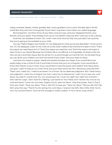### **SERMON TRANSCRIPT**

#### **How to Be the Father of a Wise Child** | **Proverbs 1:1-5, 20-22** | **#1932**

wisest, smartest, fastest, richest, goodest dad. I know goodest is not a word. The best dad in all the world! But they want him to be gentle! Touch them, hug them, show other non-verbal language.

Be transparent. Let them know of your fears, and your joys, and your disappointments, your failures, and your goals. They already know you're not perfect; they just don't want you to be a phony.

And then, be available to them. Oh, l wish l had more time for that, but just take it as a priority that you're going to be available to your child.

You say, "Pastor Rogers, very frankly I'm not adequate for what you've just described." I know you're not. I'm not adequate. Listen to me, none of us has what it takes to be this kind of a dad or mom. That's the reason we need Jesus isn't it? That's the reason we need the Lord. That's the reason we've got to have Christ in our hearts! Because the Christian life is not difficult, it is impossible. So there's only one who can do it and that's Jesus. But He will do it in us and through us if we'll let Him. So the best thing you can do for your children is to love God will all of your heart. Give your heart to Jesus.

Let's bow our heads in prayer. Heads are bowed and eyes are closed. If you would like to be saved today, to be a child of God, if you'd like to know that your sin is forgiven, if you would like to know that Heaven is your home, if you would like to have the power and wisdom that Jesus alone can give, I want to help you to invite Christ into your heart and trust Him. Would you pray like this? "Dear Lord, I need You. I need to be saved. I'm a sinner. My sin deserves judgment. But l need mercy, not judgment. I want You to forgive me, God. I want You to cleanse me. I want You to save me. Lord Jesus, You said if I would trust You, You would save me. I trust You right now, right this moment. I don't ask for a sign. I don't look for a feeling. I just stand on Your Word, and I receive You now as my Lord and Savior. Come into my heart, forgive my sin, save me Jesus." Pray that prayer. Pray it. Pray it from your heart. "Save me, Jesus." Pray it. Ask Him to save you. "Save me, Jesus." Did you ask Him? By faith, pray this way, "Thank You for saving me, Lord Jesus. I receive it by faith, like a little child. You're now my Lord and Savior. Give me the courage to make it public. In Your name I pray, Amen."